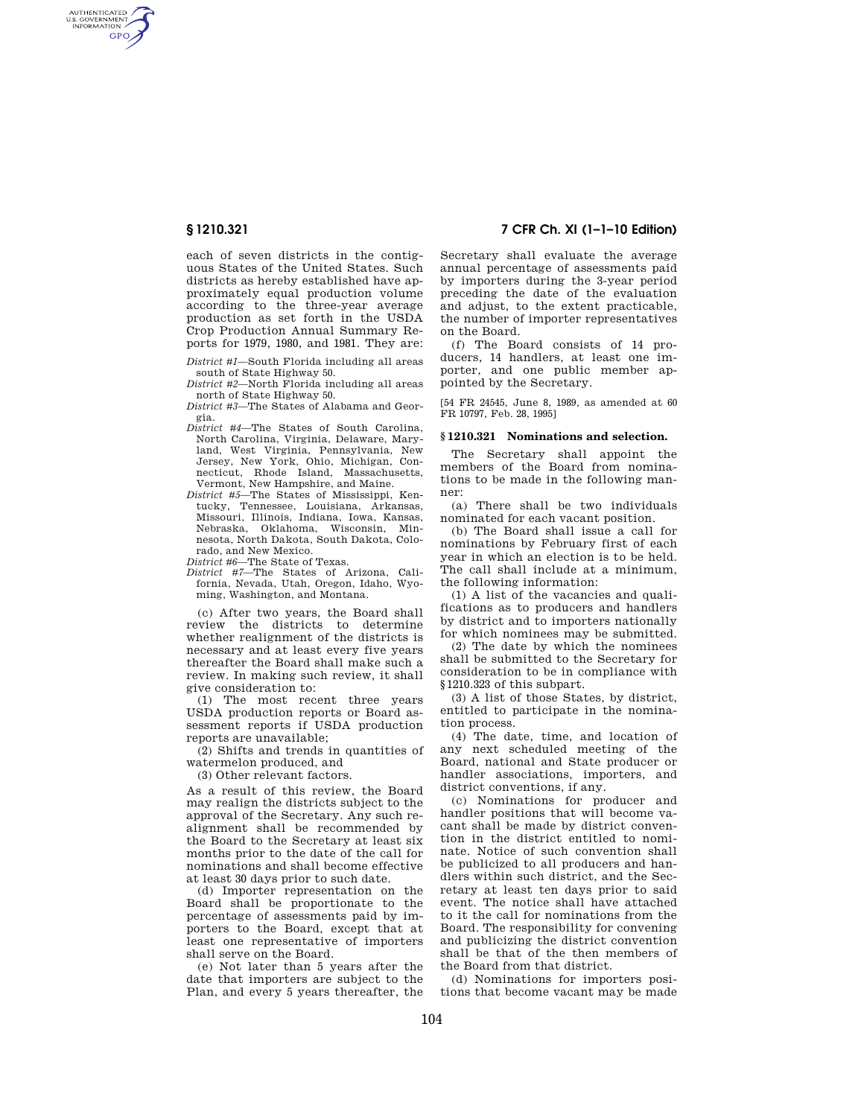AUTHENTICATED<br>U.S. GOVERNMENT<br>INFORMATION **GPO** 

> each of seven districts in the contiguous States of the United States. Such districts as hereby established have approximately equal production volume according to the three-year average production as set forth in the USDA Crop Production Annual Summary Reports for 1979, 1980, and 1981. They are:

- *District #1*—South Florida including all areas south of State Highway 50.
- *District #2*—North Florida including all areas north of State Highway 50.
- *District #3*—The States of Alabama and Georgia.
- *District #4*—The States of South Carolina, North Carolina, Virginia, Delaware, Maryland, West Virginia, Pennsylvania, New Jersey, New York, Ohio, Michigan, Connecticut, Rhode Island, Massachusetts, Vermont, New Hampshire, and Maine.
- *District #5*—The States of Mississippi, Kentucky, Tennessee, Louisiana, Arkansas, Missouri, Illinois, Indiana, Iowa, Kansas, Nebraska, Oklahoma, Wisconsin, Min-nesota, North Dakota, South Dakota, Colorado, and New Mexico.
- *District #6*—The State of Texas.
- *District #7*—The States of Arizona, California, Nevada, Utah, Oregon, Idaho, Wyoming, Washington, and Montana.

(c) After two years, the Board shall review the districts to determine whether realignment of the districts is necessary and at least every five years thereafter the Board shall make such a review. In making such review, it shall give consideration to:

(1) The most recent three years USDA production reports or Board assessment reports if USDA production reports are unavailable;

(2) Shifts and trends in quantities of watermelon produced, and

(3) Other relevant factors.

As a result of this review, the Board may realign the districts subject to the approval of the Secretary. Any such realignment shall be recommended by the Board to the Secretary at least six months prior to the date of the call for nominations and shall become effective at least 30 days prior to such date.

(d) Importer representation on the Board shall be proportionate to the percentage of assessments paid by importers to the Board, except that at least one representative of importers shall serve on the Board.

(e) Not later than 5 years after the date that importers are subject to the Plan, and every 5 years thereafter, the

**§ 1210.321 7 CFR Ch. XI (1–1–10 Edition)** 

Secretary shall evaluate the average annual percentage of assessments paid by importers during the 3-year period preceding the date of the evaluation and adjust, to the extent practicable. the number of importer representatives on the Board.

(f) The Board consists of 14 producers, 14 handlers, at least one importer, and one public member appointed by the Secretary.

[54 FR 24545, June 8, 1989, as amended at 60 FR 10797, Feb. 28, 1995]

#### **§ 1210.321 Nominations and selection.**

The Secretary shall appoint the members of the Board from nominations to be made in the following manner:

(a) There shall be two individuals nominated for each vacant position.

(b) The Board shall issue a call for nominations by February first of each year in which an election is to be held. The call shall include at a minimum, the following information:

(1) A list of the vacancies and qualifications as to producers and handlers by district and to importers nationally for which nominees may be submitted.

(2) The date by which the nominees shall be submitted to the Secretary for consideration to be in compliance with §1210.323 of this subpart.

(3) A list of those States, by district, entitled to participate in the nomination process.

(4) The date, time, and location of any next scheduled meeting of the Board, national and State producer or handler associations, importers, and district conventions, if any.

(c) Nominations for producer and handler positions that will become vacant shall be made by district convention in the district entitled to nominate. Notice of such convention shall be publicized to all producers and handlers within such district, and the Secretary at least ten days prior to said event. The notice shall have attached to it the call for nominations from the Board. The responsibility for convening and publicizing the district convention shall be that of the then members of the Board from that district.

(d) Nominations for importers positions that become vacant may be made